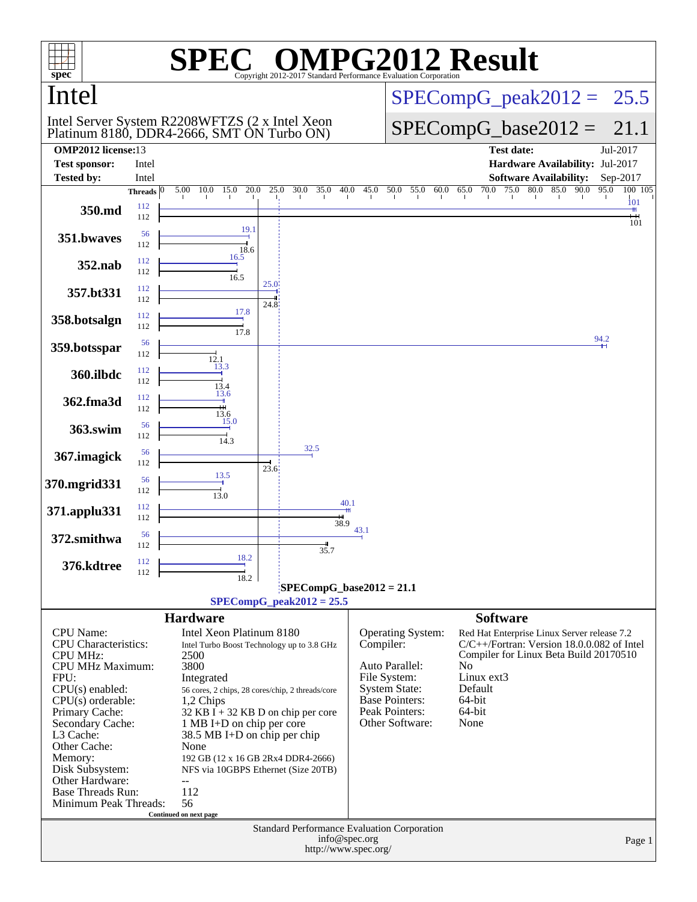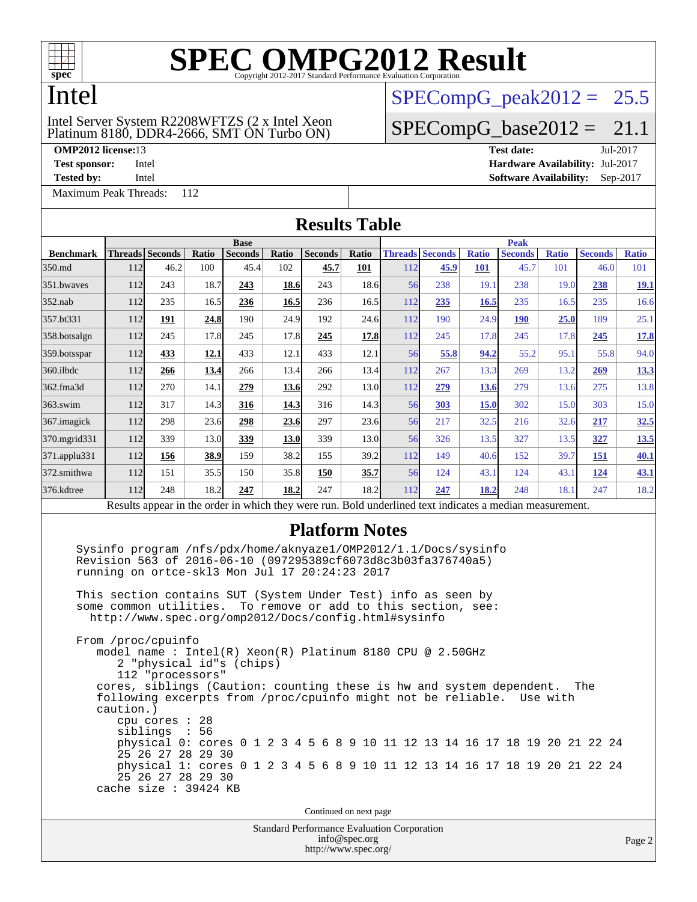

### Intel

### Platinum 8180, DDR4-2666, SMT ON Turbo ON) Intel Server System R2208WFTZS (2 x Intel Xeon

**[OMP2012 license:](http://www.spec.org/auto/omp2012/Docs/result-fields.html#OMP2012license)**13 **[Test date:](http://www.spec.org/auto/omp2012/Docs/result-fields.html#Testdate)** Jul-2017

[Maximum Peak Threads:](http://www.spec.org/auto/omp2012/Docs/result-fields.html#MaximumPeakThreads) 112

 $SPECompG_peak2012 = 25.5$  $SPECompG_peak2012 = 25.5$ 

### $SPECompG_base2012 = 21.1$  $SPECompG_base2012 = 21.1$

**[Test sponsor:](http://www.spec.org/auto/omp2012/Docs/result-fields.html#Testsponsor)** Intel **[Hardware Availability:](http://www.spec.org/auto/omp2012/Docs/result-fields.html#HardwareAvailability)** Jul-2017 **[Tested by:](http://www.spec.org/auto/omp2012/Docs/result-fields.html#Testedby)** Intel **[Software Availability:](http://www.spec.org/auto/omp2012/Docs/result-fields.html#SoftwareAvailability)** Sep-2017

| <b>Results Table</b>                                                                                                                                                                                                                                                                                                                                                                                                                                                                                                                                                                                                                                                                                                                                                                                                                                                                                                                                                        |                        |      |              |                                                                                                          |              |                                                                     |               |     |                                |                     |                        |                     |                        |                     |
|-----------------------------------------------------------------------------------------------------------------------------------------------------------------------------------------------------------------------------------------------------------------------------------------------------------------------------------------------------------------------------------------------------------------------------------------------------------------------------------------------------------------------------------------------------------------------------------------------------------------------------------------------------------------------------------------------------------------------------------------------------------------------------------------------------------------------------------------------------------------------------------------------------------------------------------------------------------------------------|------------------------|------|--------------|----------------------------------------------------------------------------------------------------------|--------------|---------------------------------------------------------------------|---------------|-----|--------------------------------|---------------------|------------------------|---------------------|------------------------|---------------------|
|                                                                                                                                                                                                                                                                                                                                                                                                                                                                                                                                                                                                                                                                                                                                                                                                                                                                                                                                                                             |                        |      |              | <b>Base</b>                                                                                              |              |                                                                     |               |     |                                |                     | <b>Peak</b>            |                     |                        |                     |
| <b>Benchmark</b><br>350.md                                                                                                                                                                                                                                                                                                                                                                                                                                                                                                                                                                                                                                                                                                                                                                                                                                                                                                                                                  | Threads Seconds<br>112 | 46.2 | Ratio<br>100 | <b>Seconds</b><br>45.4                                                                                   | Ratio<br>102 | <b>Seconds</b><br>45.7                                              | Ratio<br>101  | 112 | <b>Threads Seconds</b><br>45.9 | <b>Ratio</b><br>101 | <b>Seconds</b><br>45.7 | <b>Ratio</b><br>101 | <b>Seconds</b><br>46.0 | <b>Ratio</b><br>101 |
| 351.bwaves                                                                                                                                                                                                                                                                                                                                                                                                                                                                                                                                                                                                                                                                                                                                                                                                                                                                                                                                                                  | 112                    | 243  | 18.7         | 243                                                                                                      | 18.6         | 243                                                                 | 18.6          | 56  | 238                            | 19.1                | 238                    | 19.0                | 238                    | <u>19.1</u>         |
| $352$ .nab                                                                                                                                                                                                                                                                                                                                                                                                                                                                                                                                                                                                                                                                                                                                                                                                                                                                                                                                                                  | 112                    | 235  | 16.5         | 236                                                                                                      | 16.5         | 236                                                                 | 16.5          | 112 | 235                            | 16.5                | 235                    | 16.5                | 235                    | 16.6                |
| 357.bt331                                                                                                                                                                                                                                                                                                                                                                                                                                                                                                                                                                                                                                                                                                                                                                                                                                                                                                                                                                   | 112                    | 191  | 24.8         | 190                                                                                                      | 24.9         | 192                                                                 | 24.6          | 112 | 190                            | 24.9                | <b>190</b>             | 25.0                | 189                    | 25.1                |
| 358.botsalgn                                                                                                                                                                                                                                                                                                                                                                                                                                                                                                                                                                                                                                                                                                                                                                                                                                                                                                                                                                | 112                    | 245  | 17.8         | 245                                                                                                      | 17.8         | 245                                                                 | 17.8          | 112 | 245                            | 17.8                | 245                    | 17.8                | 245                    | 17.8                |
| 359.botsspar                                                                                                                                                                                                                                                                                                                                                                                                                                                                                                                                                                                                                                                                                                                                                                                                                                                                                                                                                                | 112                    | 433  | 12.1         | 433                                                                                                      | 12.1         | 433                                                                 | 12.1          | 56  | 55.8                           | 94.2                | 55.2                   | 95.1                | 55.8                   | 94.0                |
| 360.ilbdc                                                                                                                                                                                                                                                                                                                                                                                                                                                                                                                                                                                                                                                                                                                                                                                                                                                                                                                                                                   | 112                    | 266  | 13.4         | 266                                                                                                      | 13.4         | 266                                                                 | 13.4          | 112 | 267                            | 13.3                | 269                    | 13.2                | 269                    | 13.3                |
| 362.fma3d                                                                                                                                                                                                                                                                                                                                                                                                                                                                                                                                                                                                                                                                                                                                                                                                                                                                                                                                                                   | 112                    | 270  | 14.1         | 279                                                                                                      | 13.6         | 292                                                                 | 13.0          | 112 | 279                            | 13.6                | 279                    | 13.6                | 275                    | 13.8                |
| 363.swim                                                                                                                                                                                                                                                                                                                                                                                                                                                                                                                                                                                                                                                                                                                                                                                                                                                                                                                                                                    | 112                    | 317  | 14.3         | 316                                                                                                      | 14.3         | 316                                                                 | 14.3          | 56  | <b>303</b>                     | 15.0                | 302                    | 15.0                | 303                    | 15.0                |
| 367. imagick                                                                                                                                                                                                                                                                                                                                                                                                                                                                                                                                                                                                                                                                                                                                                                                                                                                                                                                                                                | 112                    | 298  | 23.6         | 298                                                                                                      | 23.6         | 297                                                                 | 23.6          | 56  | 217                            | 32.5                | 216                    |                     |                        |                     |
| 370.mgrid331                                                                                                                                                                                                                                                                                                                                                                                                                                                                                                                                                                                                                                                                                                                                                                                                                                                                                                                                                                | 112                    | 339  | 13.0         | 339                                                                                                      | 13.0         | 339                                                                 | 13.0          | 56  | 326                            | 13.5                | 327                    | 32.6<br>13.5        | 217<br>327             | 32.5<br>13.5        |
| 371.applu331                                                                                                                                                                                                                                                                                                                                                                                                                                                                                                                                                                                                                                                                                                                                                                                                                                                                                                                                                                | 112                    | 156  | 38.9         | 159                                                                                                      | 38.2         | 155                                                                 | 39.2          | 112 | 149                            | 40.6                | 152                    | 39.7                | 151                    | 40.1                |
| 372.smithwa                                                                                                                                                                                                                                                                                                                                                                                                                                                                                                                                                                                                                                                                                                                                                                                                                                                                                                                                                                 | 112                    | 151  | 35.5         | 150                                                                                                      | 35.8         | 150                                                                 | 35.7          | 56  | 124                            | 43.1                | 124                    | 43.1                | <u>124</u>             | <u>43.1</u>         |
| 376.kdtree                                                                                                                                                                                                                                                                                                                                                                                                                                                                                                                                                                                                                                                                                                                                                                                                                                                                                                                                                                  | 112                    | 248  | 18.2         | 247                                                                                                      | 18.2         | 247                                                                 | 18.2          | 112 | 247                            | 18.2                | 248                    | 18.1                | 247                    | 18.2                |
|                                                                                                                                                                                                                                                                                                                                                                                                                                                                                                                                                                                                                                                                                                                                                                                                                                                                                                                                                                             |                        |      |              | Results appear in the order in which they were run. Bold underlined text indicates a median measurement. |              |                                                                     |               |     |                                |                     |                        |                     |                        |                     |
| Sysinfo program /nfs/pdx/home/aknyaze1/OMP2012/1.1/Docs/sysinfo<br>Revision 563 of 2016-06-10 (097295389cf6073d8c3b03fa376740a5)<br>running on ortce-skl3 Mon Jul 17 20:24:23 2017<br>This section contains SUT (System Under Test) info as seen by<br>some common utilities. To remove or add to this section, see:<br>http://www.spec.org/omp2012/Docs/config.html#sysinfo<br>From /proc/cpuinfo<br>model name: $Intel(R)$ Xeon $(R)$ Platinum 8180 CPU @ 2.50GHz<br>2 "physical id"s (chips)<br>112 "processors"<br>cores, siblings (Caution: counting these is hw and system dependent.<br>The<br>following excerpts from /proc/cpuinfo might not be reliable.<br>Use with<br>caution.)<br>cpu cores : 28<br>siblings<br>$\sim 10$<br>56<br>physical 0: cores 0 1 2 3 4 5 6 8 9 10 11 12 13 14 16 17 18 19 20 21 22 24<br>25 26 27 28 29 30<br>physical 1: cores 0 1 2 3 4 5 6 8 9 10 11 12 13 14 16 17 18 19 20 21 22 24<br>25 26 27 28 29 30<br>cache size : 39424 KB |                        |      |              |                                                                                                          |              |                                                                     |               |     |                                |                     |                        |                     |                        |                     |
|                                                                                                                                                                                                                                                                                                                                                                                                                                                                                                                                                                                                                                                                                                                                                                                                                                                                                                                                                                             |                        |      |              |                                                                                                          |              | Continued on next page                                              |               |     |                                |                     |                        |                     |                        |                     |
|                                                                                                                                                                                                                                                                                                                                                                                                                                                                                                                                                                                                                                                                                                                                                                                                                                                                                                                                                                             |                        |      |              |                                                                                                          |              | Standard Performance Evaluation Corporation<br>http://www.spec.org/ | info@spec.org |     |                                |                     |                        |                     |                        | Page 2              |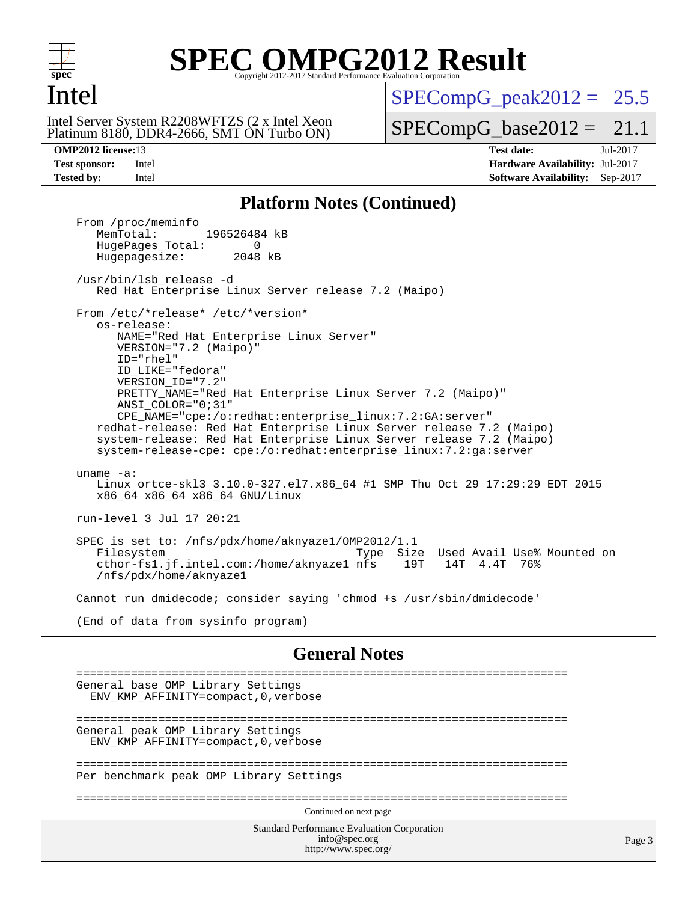

### **[SPEC OMPG2012 Result](http://www.spec.org/auto/omp2012/Docs/result-fields.html#SPECOMPG2012Result)** Copyright 2012-2017 Standard Performance Evaluation

### Intel

Intel Server System R2208WFTZS (2 x Intel Xeon

Platinum 8180, DDR4-2666, SMT ON Turbo ON)

 $SPECompG<sub>peak2012</sub> = 25.5$ 

 $SPECompG_base2012 = 21.1$  $SPECompG_base2012 = 21.1$ 

**[OMP2012 license:](http://www.spec.org/auto/omp2012/Docs/result-fields.html#OMP2012license)**13 **[Test date:](http://www.spec.org/auto/omp2012/Docs/result-fields.html#Testdate)** Jul-2017 **[Test sponsor:](http://www.spec.org/auto/omp2012/Docs/result-fields.html#Testsponsor)** Intel **[Hardware Availability:](http://www.spec.org/auto/omp2012/Docs/result-fields.html#HardwareAvailability)** Jul-2017 **[Tested by:](http://www.spec.org/auto/omp2012/Docs/result-fields.html#Testedby)** Intel **[Software Availability:](http://www.spec.org/auto/omp2012/Docs/result-fields.html#SoftwareAvailability)** Sep-2017

### **[Platform Notes \(Continued\)](http://www.spec.org/auto/omp2012/Docs/result-fields.html#PlatformNotes)**

Standard Performance Evaluation Corporation [info@spec.org](mailto:info@spec.org) <http://www.spec.org/> Page 3 From /proc/meminfo<br>MemTotal: 196526484 kB HugePages\_Total: 0<br>Hugepagesize: 2048 kB Hugepagesize: /usr/bin/lsb\_release -d Red Hat Enterprise Linux Server release 7.2 (Maipo) From /etc/\*release\* /etc/\*version\* os-release: NAME="Red Hat Enterprise Linux Server" VERSION="7.2 (Maipo)" ID="rhel" ID\_LIKE="fedora" VERSION\_ID="7.2" PRETTY\_NAME="Red Hat Enterprise Linux Server 7.2 (Maipo)" ANSI\_COLOR="0;31" CPE\_NAME="cpe:/o:redhat:enterprise\_linux:7.2:GA:server" redhat-release: Red Hat Enterprise Linux Server release 7.2 (Maipo) system-release: Red Hat Enterprise Linux Server release 7.2 (Maipo) system-release-cpe: cpe:/o:redhat:enterprise\_linux:7.2:ga:server uname -a: Linux ortce-skl3 3.10.0-327.el7.x86\_64 #1 SMP Thu Oct 29 17:29:29 EDT 2015 x86\_64 x86\_64 x86\_64 GNU/Linux run-level 3 Jul 17 20:21 SPEC is set to: /nfs/pdx/home/aknyaze1/OMP2012/1.1 Filesystem Type Size Used Avail Use% Mounted on cthor-fs1.jf.intel.com:/home/aknyaze1 nfs 19T 14T 4.4T 76% /nfs/pdx/home/aknyaze1 Cannot run dmidecode; consider saying 'chmod +s /usr/sbin/dmidecode' (End of data from sysinfo program) **[General Notes](http://www.spec.org/auto/omp2012/Docs/result-fields.html#GeneralNotes)** ======================================================================== General base OMP Library Settings ENV\_KMP\_AFFINITY=compact,0,verbose ======================================================================== General peak OMP Library Settings ENV\_KMP\_AFFINITY=compact,0,verbose ======================================================================== Per benchmark peak OMP Library Settings ======================================================================== Continued on next page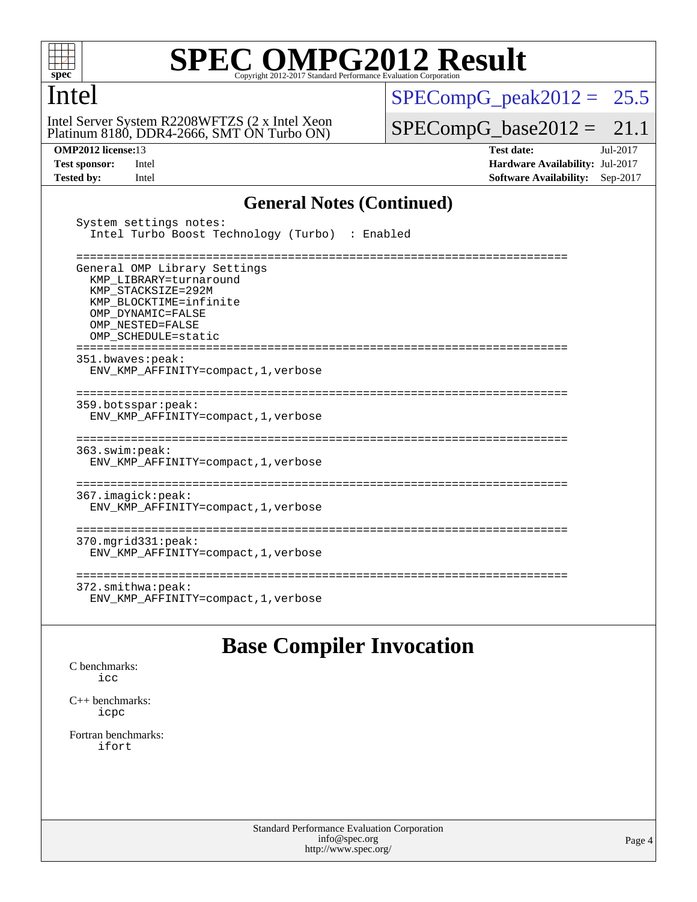

### Intel

Platinum 8180, DDR4-2666, SMT ON Turbo ON) Intel Server System R2208WFTZS (2 x Intel Xeon

 $SPECompG_peak2012 = 25.5$  $SPECompG_peak2012 = 25.5$ 

 $SPECompG_base2012 = 21.1$  $SPECompG_base2012 = 21.1$ 

**[OMP2012 license:](http://www.spec.org/auto/omp2012/Docs/result-fields.html#OMP2012license)**13 **[Test date:](http://www.spec.org/auto/omp2012/Docs/result-fields.html#Testdate)** Jul-2017 **[Test sponsor:](http://www.spec.org/auto/omp2012/Docs/result-fields.html#Testsponsor)** Intel **[Hardware Availability:](http://www.spec.org/auto/omp2012/Docs/result-fields.html#HardwareAvailability)** Jul-2017 **[Tested by:](http://www.spec.org/auto/omp2012/Docs/result-fields.html#Testedby)** Intel **[Software Availability:](http://www.spec.org/auto/omp2012/Docs/result-fields.html#SoftwareAvailability)** Sep-2017

### **[General Notes \(Continued\)](http://www.spec.org/auto/omp2012/Docs/result-fields.html#GeneralNotes)**

| System settings notes:<br>Intel Turbo Boost Technology (Turbo) : Enabled                                                                                                                |
|-----------------------------------------------------------------------------------------------------------------------------------------------------------------------------------------|
| General OMP Library Settings<br>KMP LIBRARY=turnaround<br>KMP STACKSIZE=292M<br>KMP BLOCKTIME=infinite<br>OMP DYNAMIC=FALSE<br>OMP NESTED=FALSE<br>OMP SCHEDULE=static<br>------------- |
| 351.bwaves:peak:<br>ENV KMP AFFINITY=compact, 1, verbose                                                                                                                                |
| 359.botsspar: peak:<br>ENV KMP AFFINITY=compact, 1, verbose                                                                                                                             |
| 363.swin:peak:<br>ENV KMP AFFINITY=compact, 1, verbose                                                                                                                                  |
| ----------------<br>367.imagick:peak:<br>ENV KMP AFFINITY=compact, 1, verbose                                                                                                           |
| $370.\text{mgrid}331:\text{peak}:$<br>ENV KMP AFFINITY=compact, 1, verbose                                                                                                              |
| 372.smithwa:peak:<br>ENV KMP AFFINITY=compact, 1, verbose                                                                                                                               |

### **[Base Compiler Invocation](http://www.spec.org/auto/omp2012/Docs/result-fields.html#BaseCompilerInvocation)**

[C benchmarks](http://www.spec.org/auto/omp2012/Docs/result-fields.html#Cbenchmarks): [icc](http://www.spec.org/omp2012/results/res2017q3/omp2012-20170718-00108.flags.html#user_CCbase_intel_icc_a87c68a857bc5ec5362391a49d3a37a6)

[C++ benchmarks:](http://www.spec.org/auto/omp2012/Docs/result-fields.html#CXXbenchmarks) [icpc](http://www.spec.org/omp2012/results/res2017q3/omp2012-20170718-00108.flags.html#user_CXXbase_intel_icpc_2d899f8d163502b12eb4a60069f80c1c)

[Fortran benchmarks](http://www.spec.org/auto/omp2012/Docs/result-fields.html#Fortranbenchmarks): [ifort](http://www.spec.org/omp2012/results/res2017q3/omp2012-20170718-00108.flags.html#user_FCbase_intel_ifort_8a5e5e06b19a251bdeaf8fdab5d62f20)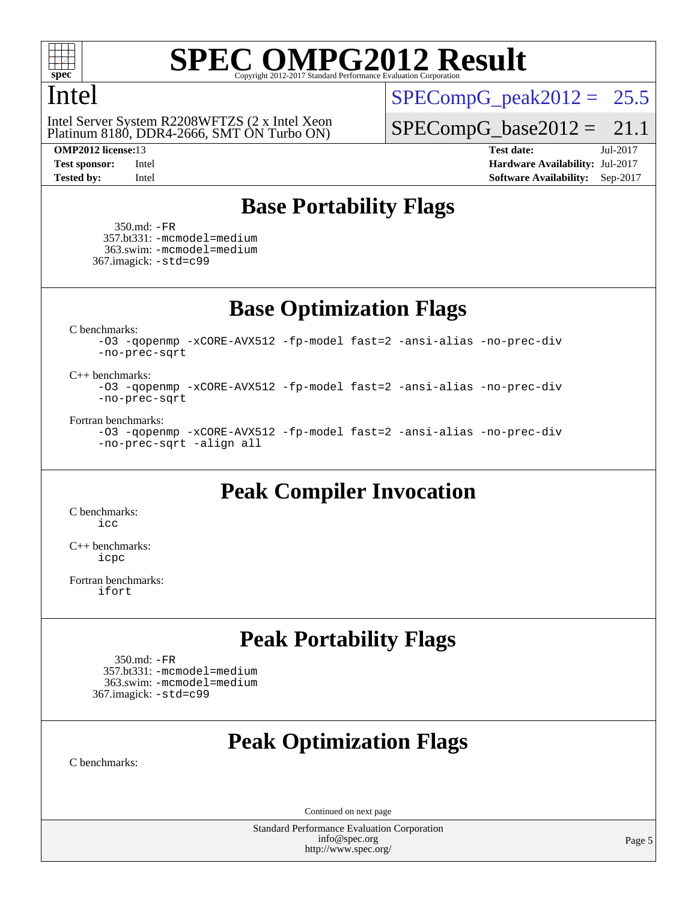

### Intel

Platinum 8180, DDR4-2666, SMT ON Turbo ON) Intel Server System R2208WFTZS (2 x Intel Xeon

 $SPECompG_peak2012 = 25.5$  $SPECompG_peak2012 = 25.5$ 

 $SPECompG_base2012 = 21.1$  $SPECompG_base2012 = 21.1$ 

**[OMP2012 license:](http://www.spec.org/auto/omp2012/Docs/result-fields.html#OMP2012license)**13 **[Test date:](http://www.spec.org/auto/omp2012/Docs/result-fields.html#Testdate)** Jul-2017 **[Test sponsor:](http://www.spec.org/auto/omp2012/Docs/result-fields.html#Testsponsor)** Intel **[Hardware Availability:](http://www.spec.org/auto/omp2012/Docs/result-fields.html#HardwareAvailability)** Jul-2017 **[Tested by:](http://www.spec.org/auto/omp2012/Docs/result-fields.html#Testedby)** Intel **[Software Availability:](http://www.spec.org/auto/omp2012/Docs/result-fields.html#SoftwareAvailability)** Sep-2017

### **[Base Portability Flags](http://www.spec.org/auto/omp2012/Docs/result-fields.html#BasePortabilityFlags)**

 350.md: [-FR](http://www.spec.org/omp2012/results/res2017q3/omp2012-20170718-00108.flags.html#user_baseFPORTABILITY350_md_f-FR) 357.bt331: [-mcmodel=medium](http://www.spec.org/omp2012/results/res2017q3/omp2012-20170718-00108.flags.html#user_basePORTABILITY357_bt331_f-mcmodel_3a41622424bdd074c4f0f2d2f224c7e5) 363.swim: [-mcmodel=medium](http://www.spec.org/omp2012/results/res2017q3/omp2012-20170718-00108.flags.html#user_basePORTABILITY363_swim_f-mcmodel_3a41622424bdd074c4f0f2d2f224c7e5) 367.imagick: [-std=c99](http://www.spec.org/omp2012/results/res2017q3/omp2012-20170718-00108.flags.html#user_baseCPORTABILITY367_imagick_f-std_2ec6533b6e06f1c4a6c9b78d9e9cde24)

**[Base Optimization Flags](http://www.spec.org/auto/omp2012/Docs/result-fields.html#BaseOptimizationFlags)**

[C benchmarks](http://www.spec.org/auto/omp2012/Docs/result-fields.html#Cbenchmarks):

[-O3](http://www.spec.org/omp2012/results/res2017q3/omp2012-20170718-00108.flags.html#user_CCbase_f-O3) [-qopenmp](http://www.spec.org/omp2012/results/res2017q3/omp2012-20170718-00108.flags.html#user_CCbase_f-qopenmp) [-xCORE-AVX512](http://www.spec.org/omp2012/results/res2017q3/omp2012-20170718-00108.flags.html#user_CCbase_f-xCORE-AVX512) [-fp-model fast=2](http://www.spec.org/omp2012/results/res2017q3/omp2012-20170718-00108.flags.html#user_CCbase_f-fp-model_a7fb8ccb7275e23f0079632c153cfcab) [-ansi-alias](http://www.spec.org/omp2012/results/res2017q3/omp2012-20170718-00108.flags.html#user_CCbase_f-ansi-alias) [-no-prec-div](http://www.spec.org/omp2012/results/res2017q3/omp2012-20170718-00108.flags.html#user_CCbase_f-no-prec-div) [-no-prec-sqrt](http://www.spec.org/omp2012/results/res2017q3/omp2012-20170718-00108.flags.html#user_CCbase_f-no-prec-sqrt)

### [C++ benchmarks:](http://www.spec.org/auto/omp2012/Docs/result-fields.html#CXXbenchmarks)

[-O3](http://www.spec.org/omp2012/results/res2017q3/omp2012-20170718-00108.flags.html#user_CXXbase_f-O3) [-qopenmp](http://www.spec.org/omp2012/results/res2017q3/omp2012-20170718-00108.flags.html#user_CXXbase_f-qopenmp) [-xCORE-AVX512](http://www.spec.org/omp2012/results/res2017q3/omp2012-20170718-00108.flags.html#user_CXXbase_f-xCORE-AVX512) [-fp-model fast=2](http://www.spec.org/omp2012/results/res2017q3/omp2012-20170718-00108.flags.html#user_CXXbase_f-fp-model_a7fb8ccb7275e23f0079632c153cfcab) [-ansi-alias](http://www.spec.org/omp2012/results/res2017q3/omp2012-20170718-00108.flags.html#user_CXXbase_f-ansi-alias) [-no-prec-div](http://www.spec.org/omp2012/results/res2017q3/omp2012-20170718-00108.flags.html#user_CXXbase_f-no-prec-div) [-no-prec-sqrt](http://www.spec.org/omp2012/results/res2017q3/omp2012-20170718-00108.flags.html#user_CXXbase_f-no-prec-sqrt)

### [Fortran benchmarks](http://www.spec.org/auto/omp2012/Docs/result-fields.html#Fortranbenchmarks):

[-O3](http://www.spec.org/omp2012/results/res2017q3/omp2012-20170718-00108.flags.html#user_FCbase_f-O3) [-qopenmp](http://www.spec.org/omp2012/results/res2017q3/omp2012-20170718-00108.flags.html#user_FCbase_f-qopenmp) [-xCORE-AVX512](http://www.spec.org/omp2012/results/res2017q3/omp2012-20170718-00108.flags.html#user_FCbase_f-xCORE-AVX512) [-fp-model fast=2](http://www.spec.org/omp2012/results/res2017q3/omp2012-20170718-00108.flags.html#user_FCbase_f-fp-model_a7fb8ccb7275e23f0079632c153cfcab) [-ansi-alias](http://www.spec.org/omp2012/results/res2017q3/omp2012-20170718-00108.flags.html#user_FCbase_f-ansi-alias) [-no-prec-div](http://www.spec.org/omp2012/results/res2017q3/omp2012-20170718-00108.flags.html#user_FCbase_f-no-prec-div) [-no-prec-sqrt](http://www.spec.org/omp2012/results/res2017q3/omp2012-20170718-00108.flags.html#user_FCbase_f-no-prec-sqrt) [-align all](http://www.spec.org/omp2012/results/res2017q3/omp2012-20170718-00108.flags.html#user_FCbase_f-align_1ebfa66158b49aff21b037afc4046011)

### **[Peak Compiler Invocation](http://www.spec.org/auto/omp2012/Docs/result-fields.html#PeakCompilerInvocation)**

[C benchmarks](http://www.spec.org/auto/omp2012/Docs/result-fields.html#Cbenchmarks): [icc](http://www.spec.org/omp2012/results/res2017q3/omp2012-20170718-00108.flags.html#user_CCpeak_intel_icc_a87c68a857bc5ec5362391a49d3a37a6)

[C++ benchmarks:](http://www.spec.org/auto/omp2012/Docs/result-fields.html#CXXbenchmarks) [icpc](http://www.spec.org/omp2012/results/res2017q3/omp2012-20170718-00108.flags.html#user_CXXpeak_intel_icpc_2d899f8d163502b12eb4a60069f80c1c)

[Fortran benchmarks](http://www.spec.org/auto/omp2012/Docs/result-fields.html#Fortranbenchmarks): [ifort](http://www.spec.org/omp2012/results/res2017q3/omp2012-20170718-00108.flags.html#user_FCpeak_intel_ifort_8a5e5e06b19a251bdeaf8fdab5d62f20)

### **[Peak Portability Flags](http://www.spec.org/auto/omp2012/Docs/result-fields.html#PeakPortabilityFlags)**

 350.md: [-FR](http://www.spec.org/omp2012/results/res2017q3/omp2012-20170718-00108.flags.html#user_peakFPORTABILITY350_md_f-FR) 357.bt331: [-mcmodel=medium](http://www.spec.org/omp2012/results/res2017q3/omp2012-20170718-00108.flags.html#user_peakPORTABILITY357_bt331_f-mcmodel_3a41622424bdd074c4f0f2d2f224c7e5) 363.swim: [-mcmodel=medium](http://www.spec.org/omp2012/results/res2017q3/omp2012-20170718-00108.flags.html#user_peakPORTABILITY363_swim_f-mcmodel_3a41622424bdd074c4f0f2d2f224c7e5) 367.imagick: [-std=c99](http://www.spec.org/omp2012/results/res2017q3/omp2012-20170718-00108.flags.html#user_peakCPORTABILITY367_imagick_f-std_2ec6533b6e06f1c4a6c9b78d9e9cde24)

## **[Peak Optimization Flags](http://www.spec.org/auto/omp2012/Docs/result-fields.html#PeakOptimizationFlags)**

[C benchmarks](http://www.spec.org/auto/omp2012/Docs/result-fields.html#Cbenchmarks):

Continued on next page

Standard Performance Evaluation Corporation [info@spec.org](mailto:info@spec.org) <http://www.spec.org/>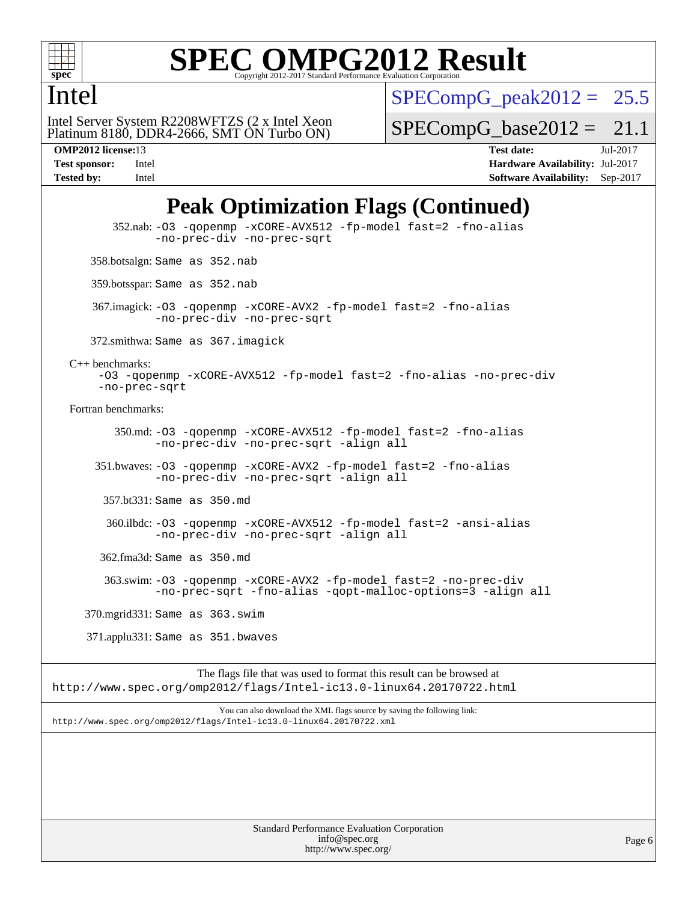

### Intel

 $SPECompG<sub>peak2012</sub> = 25.5$ 

Platinum 8180, DDR4-2666, SMT ON Turbo ON) Intel Server System R2208WFTZS (2 x Intel Xeon  $SPECompG_base2012 = 21.1$  $SPECompG_base2012 = 21.1$ 

**[OMP2012 license:](http://www.spec.org/auto/omp2012/Docs/result-fields.html#OMP2012license)**13 **[Test date:](http://www.spec.org/auto/omp2012/Docs/result-fields.html#Testdate)** Jul-2017 **[Test sponsor:](http://www.spec.org/auto/omp2012/Docs/result-fields.html#Testsponsor)** Intel **[Hardware Availability:](http://www.spec.org/auto/omp2012/Docs/result-fields.html#HardwareAvailability)** Jul-2017 **[Tested by:](http://www.spec.org/auto/omp2012/Docs/result-fields.html#Testedby)** Intel **[Software Availability:](http://www.spec.org/auto/omp2012/Docs/result-fields.html#SoftwareAvailability)** Sep-2017

## **[Peak Optimization Flags \(Continued\)](http://www.spec.org/auto/omp2012/Docs/result-fields.html#PeakOptimizationFlags)**

 352.nab: [-O3](http://www.spec.org/omp2012/results/res2017q3/omp2012-20170718-00108.flags.html#user_peakOPTIMIZE352_nab_f-O3) [-qopenmp](http://www.spec.org/omp2012/results/res2017q3/omp2012-20170718-00108.flags.html#user_peakOPTIMIZE352_nab_f-qopenmp) [-xCORE-AVX512](http://www.spec.org/omp2012/results/res2017q3/omp2012-20170718-00108.flags.html#user_peakOPTIMIZE352_nab_f-xCORE-AVX512) [-fp-model fast=2](http://www.spec.org/omp2012/results/res2017q3/omp2012-20170718-00108.flags.html#user_peakOPTIMIZE352_nab_f-fp-model_a7fb8ccb7275e23f0079632c153cfcab) [-fno-alias](http://www.spec.org/omp2012/results/res2017q3/omp2012-20170718-00108.flags.html#user_peakOPTIMIZE352_nab_f-no-alias_694e77f6c5a51e658e82ccff53a9e63a) [-no-prec-div](http://www.spec.org/omp2012/results/res2017q3/omp2012-20170718-00108.flags.html#user_peakOPTIMIZE352_nab_f-no-prec-div) [-no-prec-sqrt](http://www.spec.org/omp2012/results/res2017q3/omp2012-20170718-00108.flags.html#user_peakOPTIMIZE352_nab_f-no-prec-sqrt) 358.botsalgn: Same as 352.nab 359.botsspar: Same as 352.nab 367.imagick: [-O3](http://www.spec.org/omp2012/results/res2017q3/omp2012-20170718-00108.flags.html#user_peakOPTIMIZE367_imagick_f-O3) [-qopenmp](http://www.spec.org/omp2012/results/res2017q3/omp2012-20170718-00108.flags.html#user_peakOPTIMIZE367_imagick_f-qopenmp) [-xCORE-AVX2](http://www.spec.org/omp2012/results/res2017q3/omp2012-20170718-00108.flags.html#user_peakOPTIMIZE367_imagick_f-xCORE-AVX2) [-fp-model fast=2](http://www.spec.org/omp2012/results/res2017q3/omp2012-20170718-00108.flags.html#user_peakOPTIMIZE367_imagick_f-fp-model_a7fb8ccb7275e23f0079632c153cfcab) [-fno-alias](http://www.spec.org/omp2012/results/res2017q3/omp2012-20170718-00108.flags.html#user_peakOPTIMIZE367_imagick_f-no-alias_694e77f6c5a51e658e82ccff53a9e63a) [-no-prec-div](http://www.spec.org/omp2012/results/res2017q3/omp2012-20170718-00108.flags.html#user_peakOPTIMIZE367_imagick_f-no-prec-div) [-no-prec-sqrt](http://www.spec.org/omp2012/results/res2017q3/omp2012-20170718-00108.flags.html#user_peakOPTIMIZE367_imagick_f-no-prec-sqrt) 372.smithwa: Same as 367.imagick [C++ benchmarks:](http://www.spec.org/auto/omp2012/Docs/result-fields.html#CXXbenchmarks) [-O3](http://www.spec.org/omp2012/results/res2017q3/omp2012-20170718-00108.flags.html#user_CXXpeak_f-O3) [-qopenmp](http://www.spec.org/omp2012/results/res2017q3/omp2012-20170718-00108.flags.html#user_CXXpeak_f-qopenmp) [-xCORE-AVX512](http://www.spec.org/omp2012/results/res2017q3/omp2012-20170718-00108.flags.html#user_CXXpeak_f-xCORE-AVX512) [-fp-model fast=2](http://www.spec.org/omp2012/results/res2017q3/omp2012-20170718-00108.flags.html#user_CXXpeak_f-fp-model_a7fb8ccb7275e23f0079632c153cfcab) [-fno-alias](http://www.spec.org/omp2012/results/res2017q3/omp2012-20170718-00108.flags.html#user_CXXpeak_f-no-alias_694e77f6c5a51e658e82ccff53a9e63a) [-no-prec-div](http://www.spec.org/omp2012/results/res2017q3/omp2012-20170718-00108.flags.html#user_CXXpeak_f-no-prec-div) [-no-prec-sqrt](http://www.spec.org/omp2012/results/res2017q3/omp2012-20170718-00108.flags.html#user_CXXpeak_f-no-prec-sqrt) [Fortran benchmarks](http://www.spec.org/auto/omp2012/Docs/result-fields.html#Fortranbenchmarks): 350.md: [-O3](http://www.spec.org/omp2012/results/res2017q3/omp2012-20170718-00108.flags.html#user_peakOPTIMIZE350_md_f-O3) [-qopenmp](http://www.spec.org/omp2012/results/res2017q3/omp2012-20170718-00108.flags.html#user_peakOPTIMIZE350_md_f-qopenmp) [-xCORE-AVX512](http://www.spec.org/omp2012/results/res2017q3/omp2012-20170718-00108.flags.html#user_peakOPTIMIZE350_md_f-xCORE-AVX512) [-fp-model fast=2](http://www.spec.org/omp2012/results/res2017q3/omp2012-20170718-00108.flags.html#user_peakOPTIMIZE350_md_f-fp-model_a7fb8ccb7275e23f0079632c153cfcab) [-fno-alias](http://www.spec.org/omp2012/results/res2017q3/omp2012-20170718-00108.flags.html#user_peakOPTIMIZE350_md_f-no-alias_694e77f6c5a51e658e82ccff53a9e63a) [-no-prec-div](http://www.spec.org/omp2012/results/res2017q3/omp2012-20170718-00108.flags.html#user_peakOPTIMIZE350_md_f-no-prec-div) [-no-prec-sqrt](http://www.spec.org/omp2012/results/res2017q3/omp2012-20170718-00108.flags.html#user_peakOPTIMIZE350_md_f-no-prec-sqrt) [-align all](http://www.spec.org/omp2012/results/res2017q3/omp2012-20170718-00108.flags.html#user_peakFOPTIMIZE350_md_f-align_1ebfa66158b49aff21b037afc4046011) 351.bwaves: [-O3](http://www.spec.org/omp2012/results/res2017q3/omp2012-20170718-00108.flags.html#user_peakOPTIMIZE351_bwaves_f-O3) [-qopenmp](http://www.spec.org/omp2012/results/res2017q3/omp2012-20170718-00108.flags.html#user_peakOPTIMIZE351_bwaves_f-qopenmp) [-xCORE-AVX2](http://www.spec.org/omp2012/results/res2017q3/omp2012-20170718-00108.flags.html#user_peakOPTIMIZE351_bwaves_f-xCORE-AVX2) [-fp-model fast=2](http://www.spec.org/omp2012/results/res2017q3/omp2012-20170718-00108.flags.html#user_peakOPTIMIZE351_bwaves_f-fp-model_a7fb8ccb7275e23f0079632c153cfcab) [-fno-alias](http://www.spec.org/omp2012/results/res2017q3/omp2012-20170718-00108.flags.html#user_peakOPTIMIZE351_bwaves_f-no-alias_694e77f6c5a51e658e82ccff53a9e63a) [-no-prec-div](http://www.spec.org/omp2012/results/res2017q3/omp2012-20170718-00108.flags.html#user_peakOPTIMIZE351_bwaves_f-no-prec-div) [-no-prec-sqrt](http://www.spec.org/omp2012/results/res2017q3/omp2012-20170718-00108.flags.html#user_peakOPTIMIZE351_bwaves_f-no-prec-sqrt) [-align all](http://www.spec.org/omp2012/results/res2017q3/omp2012-20170718-00108.flags.html#user_peakFOPTIMIZE351_bwaves_f-align_1ebfa66158b49aff21b037afc4046011) 357.bt331: Same as 350.md 360.ilbdc: [-O3](http://www.spec.org/omp2012/results/res2017q3/omp2012-20170718-00108.flags.html#user_peakOPTIMIZE360_ilbdc_f-O3) [-qopenmp](http://www.spec.org/omp2012/results/res2017q3/omp2012-20170718-00108.flags.html#user_peakOPTIMIZE360_ilbdc_f-qopenmp) [-xCORE-AVX512](http://www.spec.org/omp2012/results/res2017q3/omp2012-20170718-00108.flags.html#user_peakOPTIMIZE360_ilbdc_f-xCORE-AVX512) [-fp-model fast=2](http://www.spec.org/omp2012/results/res2017q3/omp2012-20170718-00108.flags.html#user_peakOPTIMIZE360_ilbdc_f-fp-model_a7fb8ccb7275e23f0079632c153cfcab) [-ansi-alias](http://www.spec.org/omp2012/results/res2017q3/omp2012-20170718-00108.flags.html#user_peakOPTIMIZE360_ilbdc_f-ansi-alias) [-no-prec-div](http://www.spec.org/omp2012/results/res2017q3/omp2012-20170718-00108.flags.html#user_peakOPTIMIZE360_ilbdc_f-no-prec-div) [-no-prec-sqrt](http://www.spec.org/omp2012/results/res2017q3/omp2012-20170718-00108.flags.html#user_peakOPTIMIZE360_ilbdc_f-no-prec-sqrt) [-align all](http://www.spec.org/omp2012/results/res2017q3/omp2012-20170718-00108.flags.html#user_peakFOPTIMIZE360_ilbdc_f-align_1ebfa66158b49aff21b037afc4046011) 362.fma3d: Same as 350.md 363.swim: [-O3](http://www.spec.org/omp2012/results/res2017q3/omp2012-20170718-00108.flags.html#user_peakOPTIMIZE363_swim_f-O3) [-qopenmp](http://www.spec.org/omp2012/results/res2017q3/omp2012-20170718-00108.flags.html#user_peakOPTIMIZE363_swim_f-qopenmp) [-xCORE-AVX2](http://www.spec.org/omp2012/results/res2017q3/omp2012-20170718-00108.flags.html#user_peakOPTIMIZE363_swim_f-xCORE-AVX2) [-fp-model fast=2](http://www.spec.org/omp2012/results/res2017q3/omp2012-20170718-00108.flags.html#user_peakOPTIMIZE363_swim_f-fp-model_a7fb8ccb7275e23f0079632c153cfcab) [-no-prec-div](http://www.spec.org/omp2012/results/res2017q3/omp2012-20170718-00108.flags.html#user_peakOPTIMIZE363_swim_f-no-prec-div) [-no-prec-sqrt](http://www.spec.org/omp2012/results/res2017q3/omp2012-20170718-00108.flags.html#user_peakOPTIMIZE363_swim_f-no-prec-sqrt) [-fno-alias](http://www.spec.org/omp2012/results/res2017q3/omp2012-20170718-00108.flags.html#user_peakOPTIMIZE363_swim_f-no-alias_694e77f6c5a51e658e82ccff53a9e63a) [-qopt-malloc-options=3](http://www.spec.org/omp2012/results/res2017q3/omp2012-20170718-00108.flags.html#user_peakOPTIMIZE363_swim_f-qopt-malloc-options_0fcb435012e78f27d57f473818e45fe4) [-align all](http://www.spec.org/omp2012/results/res2017q3/omp2012-20170718-00108.flags.html#user_peakFOPTIMIZE363_swim_f-align_1ebfa66158b49aff21b037afc4046011) 370.mgrid331: Same as 363.swim 371.applu331: Same as 351.bwaves

The flags file that was used to format this result can be browsed at <http://www.spec.org/omp2012/flags/Intel-ic13.0-linux64.20170722.html>

You can also download the XML flags source by saving the following link: <http://www.spec.org/omp2012/flags/Intel-ic13.0-linux64.20170722.xml>

> Standard Performance Evaluation Corporation [info@spec.org](mailto:info@spec.org) <http://www.spec.org/>